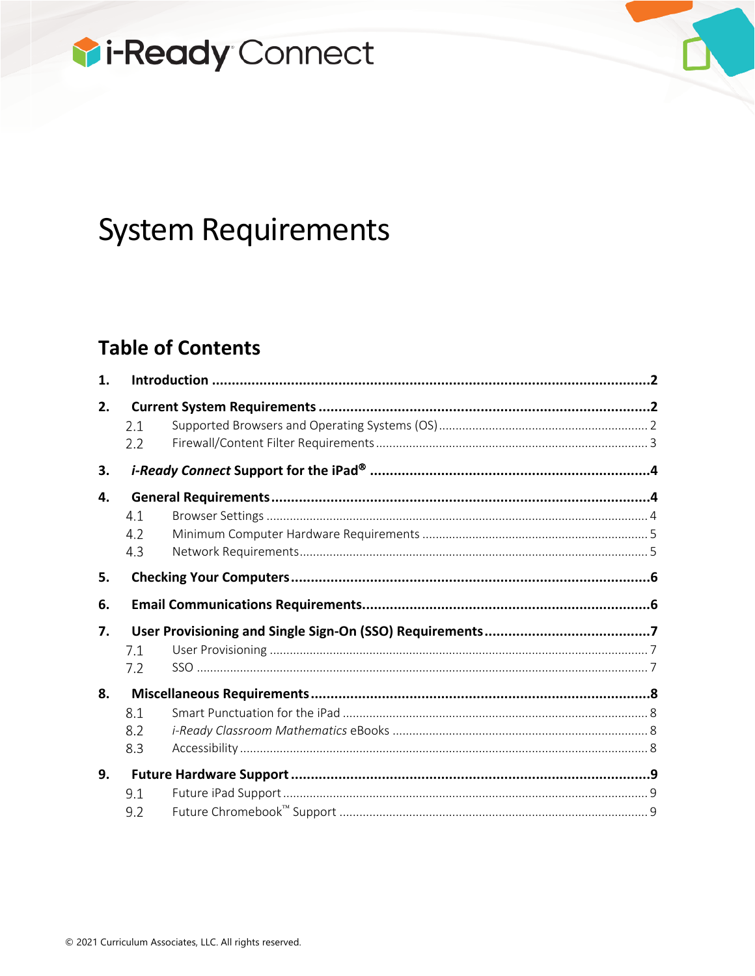

# **System Requirements**

# **Table of Contents**

| 1. |     |  |  |  |
|----|-----|--|--|--|
| 2. |     |  |  |  |
|    | 2.1 |  |  |  |
|    | 2.2 |  |  |  |
| 3. |     |  |  |  |
| 4. |     |  |  |  |
|    | 4.1 |  |  |  |
|    | 4.2 |  |  |  |
|    | 4.3 |  |  |  |
| 5. |     |  |  |  |
| 6. |     |  |  |  |
| 7. |     |  |  |  |
|    | 7.1 |  |  |  |
|    | 7.2 |  |  |  |
| 8. |     |  |  |  |
|    | 8.1 |  |  |  |
|    | 8.2 |  |  |  |
|    |     |  |  |  |
|    | 8.3 |  |  |  |
| 9. |     |  |  |  |
|    | 9.1 |  |  |  |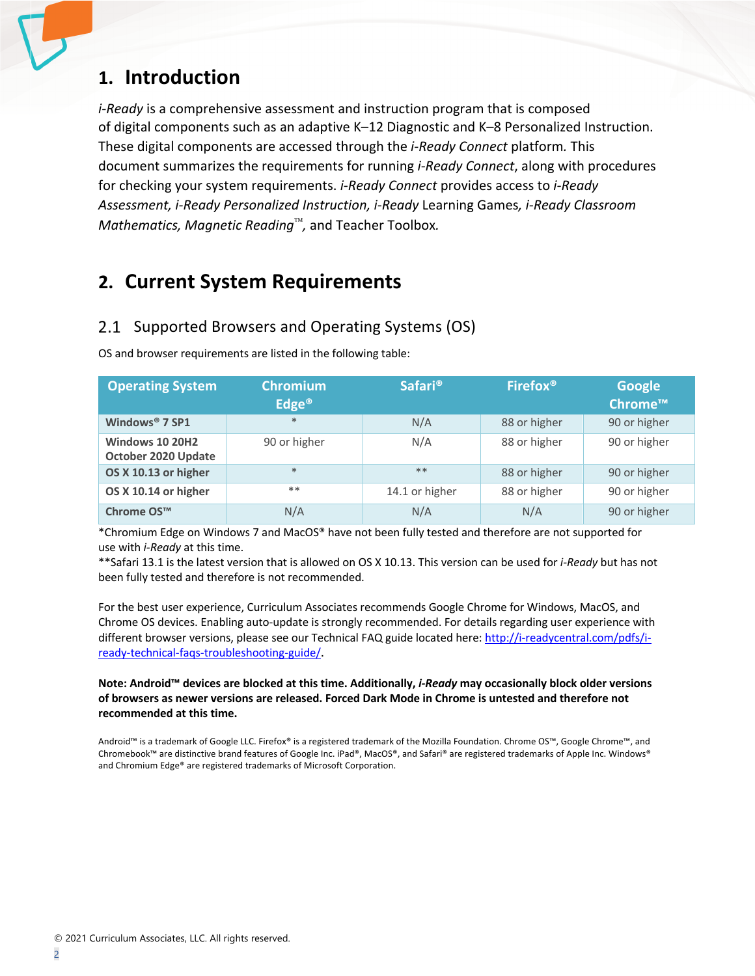# **1. Introduction**

*i-Ready* is a comprehensive assessment and instruction program that is composed of digital components such as an adaptive K–12 Diagnostic and K–8 Personalized Instruction. These digital components are accessed through the *i-Ready Connect* platform*.* This document summarizes the requirements for running *i-Ready Connect*, along with procedures for checking your system requirements. *i-Ready Connect* provides access to *i-Ready Assessment, i-Ready Personalized Instruction, i-Ready* Learning Games*, i-Ready Classroom Mathematics, Magnetic Reading*<sup>™</sup>, and Teacher Toolbox.

# **2. Current System Requirements**

### 2.1 Supported Browsers and Operating Systems (OS)

OS and browser requirements are listed in the following table:

| <b>Operating System</b>                       | <b>Chromium</b><br>Edge <sup>®</sup> | <b>Safari<sup>®</sup></b> | Firefox <sup>®</sup> | <b>Google</b><br>Chrome™ |
|-----------------------------------------------|--------------------------------------|---------------------------|----------------------|--------------------------|
| Windows <sup>®</sup> 7 SP1                    | $*$                                  | N/A                       | 88 or higher         | 90 or higher             |
| <b>Windows 10 20H2</b><br>October 2020 Update | 90 or higher                         | N/A                       | 88 or higher         | 90 or higher             |
| OS X 10.13 or higher                          | $*$                                  | $**$                      | 88 or higher         | 90 or higher             |
| OS X 10.14 or higher                          | $**$                                 | 14.1 or higher            | 88 or higher         | 90 or higher             |
| Chrome OS <sup>™</sup>                        | N/A                                  | N/A                       | N/A                  | 90 or higher             |

\*Chromium Edge on Windows 7 and MacOS® have not been fully tested and therefore are not supported for use with *i-Ready* at this time.

\*\*Safari 13.1 is the latest version that is allowed on OS X 10.13. This version can be used for *i-Ready* but has not been fully tested and therefore is not recommended.

For the best user experience, Curriculum Associates recommends Google Chrome for Windows, MacOS, and Chrome OS devices. Enabling auto-update is strongly recommended. For details regarding user experience with different browser versions, please see our Technical FAQ guide located here: http://i-readycentral.com/pdfs/iready-technical-faqs-troubleshooting-guide/.

#### **Note: Android™ devices are blocked at this time. Additionally,** *i-Ready* **may occasionally block older versions of browsers as newer versions are released. Forced Dark Mode in Chrome is untested and therefore not recommended at this time.**

Android™ is a trademark of Google LLC. Firefox® is a registered trademark of the Mozilla Foundation. Chrome OS™, Google Chrome™, and Chromebook™ are distinctive brand features of Google Inc. iPad®, MacOS®, and Safari® are registered trademarks of Apple Inc. Windows® and Chromium Edge® are registered trademarks of Microsoft Corporation.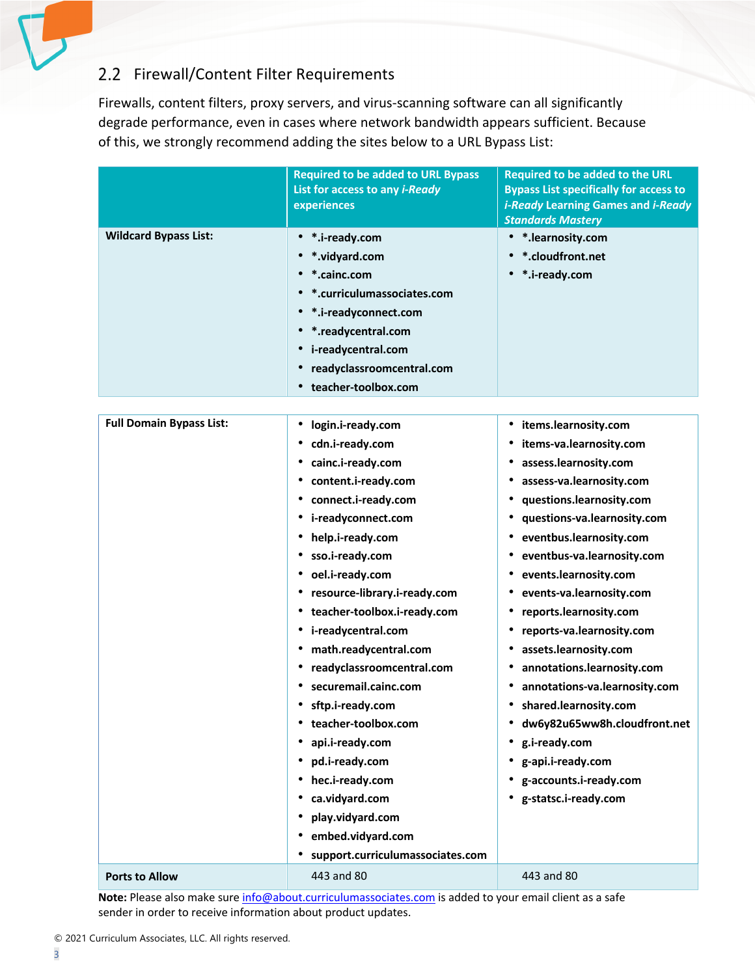## 2.2 Firewall/Content Filter Requirements

Firewalls, content filters, proxy servers, and virus-scanning software can all significantly degrade performance, even in cases where network bandwidth appears sufficient. Because of this, we strongly recommend adding the sites below to a URL Bypass List:

|                                 | <b>Required to be added to URL Bypass</b><br>List for access to any <i>i-Ready</i><br>experiences | Required to be added to the URL<br><b>Bypass List specifically for access to</b><br><i>i-Ready</i> Learning Games and <i>i-Ready</i><br><b>Standards Mastery</b> |
|---------------------------------|---------------------------------------------------------------------------------------------------|------------------------------------------------------------------------------------------------------------------------------------------------------------------|
| <b>Wildcard Bypass List:</b>    | • *.i-ready.com                                                                                   | • *.learnosity.com                                                                                                                                               |
|                                 | • *.vidyard.com                                                                                   | • *.cloudfront.net                                                                                                                                               |
|                                 | *.cainc.com                                                                                       | • *.i-ready.com                                                                                                                                                  |
|                                 | • *.curriculumassociates.com                                                                      |                                                                                                                                                                  |
|                                 | • *.i-readyconnect.com                                                                            |                                                                                                                                                                  |
|                                 | • *.readycentral.com                                                                              |                                                                                                                                                                  |
|                                 | • i-readycentral.com                                                                              |                                                                                                                                                                  |
|                                 | readyclassroomcentral.com                                                                         |                                                                                                                                                                  |
|                                 | teacher-toolbox.com                                                                               |                                                                                                                                                                  |
|                                 |                                                                                                   |                                                                                                                                                                  |
| <b>Full Domain Bypass List:</b> | login.i-ready.com<br>$\bullet$                                                                    | • items.learnosity.com                                                                                                                                           |
|                                 | cdn.i-ready.com                                                                                   | items-va.learnosity.com<br>٠                                                                                                                                     |
|                                 | cainc.i-ready.com                                                                                 | assess.learnosity.com<br>٠                                                                                                                                       |
|                                 | • content.i-ready.com                                                                             | assess-va.learnosity.com<br>٠                                                                                                                                    |
|                                 | connect.i-ready.com<br>٠                                                                          | questions.learnosity.com<br>٠                                                                                                                                    |
|                                 | i-readyconnect.com                                                                                | questions-va.learnosity.com<br>٠                                                                                                                                 |
|                                 | help.i-ready.com                                                                                  | eventbus.learnosity.com<br>٠                                                                                                                                     |
|                                 | sso.i-ready.com                                                                                   | eventbus-va.learnosity.com<br>٠                                                                                                                                  |
|                                 | oel.i-ready.com<br>٠                                                                              | events.learnosity.com                                                                                                                                            |
|                                 | resource-library.i-ready.com                                                                      | events-va.learnosity.com                                                                                                                                         |
|                                 | • teacher-toolbox.i-ready.com                                                                     | reports.learnosity.com                                                                                                                                           |
|                                 | • i-readycentral.com                                                                              | reports-va.learnosity.com<br>٠                                                                                                                                   |
|                                 | math.readycentral.com                                                                             | assets.learnosity.com                                                                                                                                            |
|                                 | readyclassroomcentral.com                                                                         | annotations.learnosity.com                                                                                                                                       |
|                                 | securemail.cainc.com                                                                              | annotations-va.learnosity.com<br>٠                                                                                                                               |
|                                 | • sftp.i-ready.com                                                                                | • shared.learnosity.com                                                                                                                                          |
|                                 | teacher-toolbox.com                                                                               | dw6y82u65ww8h.cloudfront.net                                                                                                                                     |
|                                 | api.i-ready.com                                                                                   | g.i-ready.com                                                                                                                                                    |
|                                 | pd.i-ready.com                                                                                    | g-api.i-ready.com<br>٠                                                                                                                                           |
|                                 | hec.i-ready.com                                                                                   | g-accounts.i-ready.com<br>٠                                                                                                                                      |
|                                 | ca.vidyard.com                                                                                    | g-statsc.i-ready.com<br>٠                                                                                                                                        |
|                                 | play.vidyard.com                                                                                  |                                                                                                                                                                  |
|                                 | embed.vidyard.com                                                                                 |                                                                                                                                                                  |
|                                 | support.curriculumassociates.com                                                                  |                                                                                                                                                                  |
| <b>Ports to Allow</b>           | 443 and 80                                                                                        | 443 and 80                                                                                                                                                       |

**Note:** Please also make sure info@about.curriculumassociates.com is added to your email client as a safe sender in order to receive information about product updates.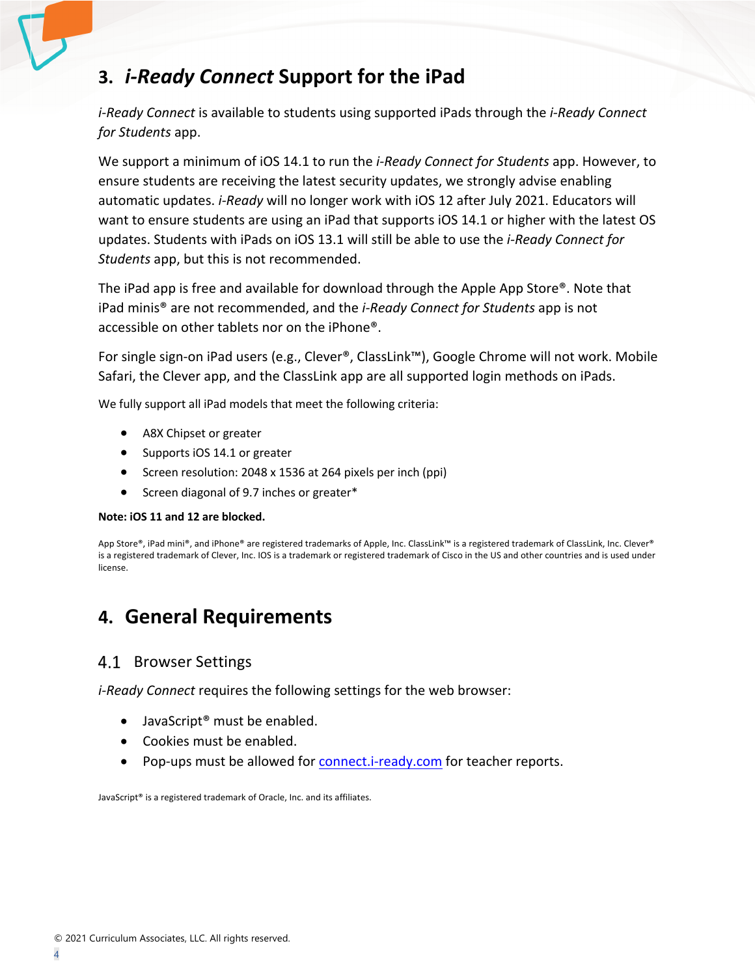# **3.** *i-Ready Connect* **Support for the iPad**

*i-Ready Connect* is available to students using supported iPads through the *i-Ready Connect for Students* app.

We support a minimum of iOS 14.1 to run the *i-Ready Connect for Students* app. However, to ensure students are receiving the latest security updates, we strongly advise enabling automatic updates. *i-Ready* will no longer work with iOS 12 after July 2021. Educators will want to ensure students are using an iPad that supports iOS 14.1 or higher with the latest OS updates. Students with iPads on iOS 13.1 will still be able to use the *i-Ready Connect for Students* app, but this is not recommended.

The iPad app is free and available for download through the Apple App Store®. Note that iPad minis® are not recommended, and the *i-Ready Connect for Students* app is not accessible on other tablets nor on the iPhone®.

For single sign-on iPad users (e.g., Clever®, ClassLink™), Google Chrome will not work. Mobile Safari, the Clever app, and the ClassLink app are all supported login methods on iPads.

We fully support all iPad models that meet the following criteria:

- A8X Chipset or greater
- Supports iOS 14.1 or greater
- Screen resolution: 2048 x 1536 at 264 pixels per inch (ppi)
- Screen diagonal of 9.7 inches or greater\*

#### **Note: iOS 11 and 12 are blocked.**

App Store®, iPad mini®, and iPhone® are registered trademarks of Apple, Inc. ClassLink™ is a registered trademark of ClassLink, Inc. Clever® is a registered trademark of Clever, Inc. IOS is a trademark or registered trademark of Cisco in the US and other countries and is used under license.

# **4. General Requirements**

### 4.1 Browser Settings

*i-Ready Connect* requires the following settings for the web browser:

- JavaScript<sup>®</sup> must be enabled.
- Cookies must be enabled.
- Pop-ups must be allowed for connect.i-ready.com for teacher reports.

JavaScript® is a registered trademark of Oracle, Inc. and its affiliates.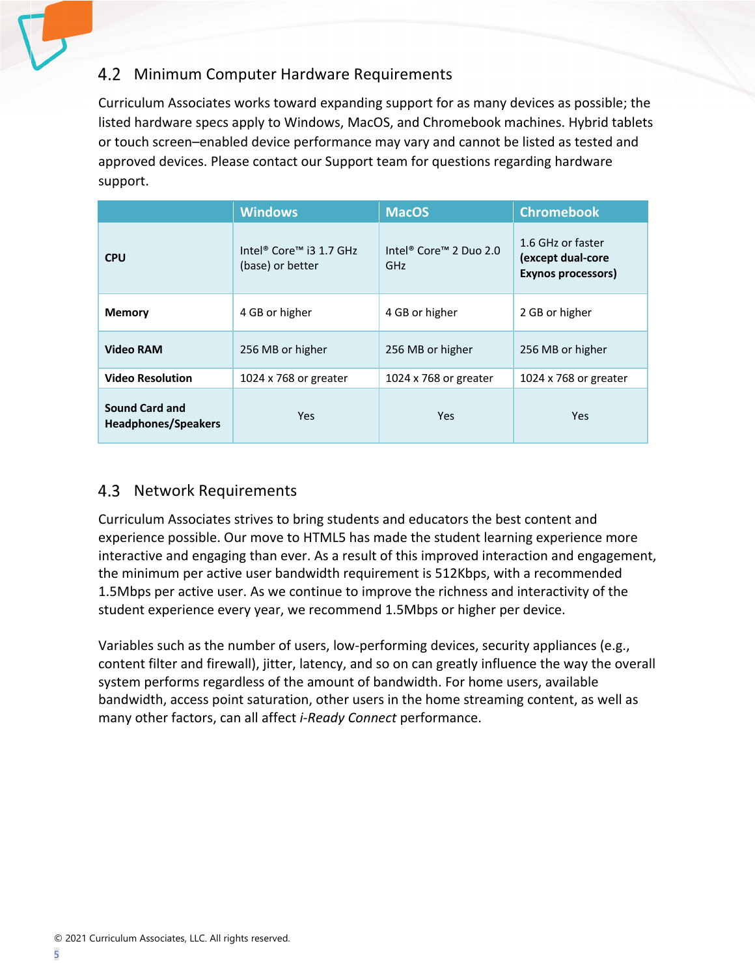### 4.2 Minimum Computer Hardware Requirements

Curriculum Associates works toward expanding support for as many devices as possible; the listed hardware specs apply to Windows, MacOS, and Chromebook machines. Hybrid tablets or touch screen–enabled device performance may vary and cannot be listed as tested and approved devices. Please contact our Support team for questions regarding hardware support.

|                                                     | <b>Windows</b>                                                      | <b>MacOS</b>                                          | <b>Chromebook</b>                                            |
|-----------------------------------------------------|---------------------------------------------------------------------|-------------------------------------------------------|--------------------------------------------------------------|
| <b>CPU</b>                                          | Intel <sup>®</sup> Core <sup>™</sup> i3 1.7 GHz<br>(base) or better | Intel <sup>®</sup> Core <sup>™</sup> 2 Duo 2.0<br>GHz | 1.6 GHz or faster<br>(except dual-core<br>Exynos processors) |
| <b>Memory</b>                                       | 4 GB or higher                                                      | 4 GB or higher                                        | 2 GB or higher                                               |
| <b>Video RAM</b>                                    | 256 MB or higher                                                    | 256 MB or higher                                      | 256 MB or higher                                             |
| <b>Video Resolution</b>                             | 1024 x 768 or greater                                               | 1024 x 768 or greater                                 | 1024 x 768 or greater                                        |
| <b>Sound Card and</b><br><b>Headphones/Speakers</b> | <b>Yes</b>                                                          | Yes                                                   | <b>Yes</b>                                                   |

### 4.3 Network Requirements

Curriculum Associates strives to bring students and educators the best content and experience possible. Our move to HTML5 has made the student learning experience more interactive and engaging than ever. As a result of this improved interaction and engagement, the minimum per active user bandwidth requirement is 512Kbps, with a recommended 1.5Mbps per active user. As we continue to improve the richness and interactivity of the student experience every year, we recommend 1.5Mbps or higher per device.

Variables such as the number of users, low-performing devices, security appliances (e.g., content filter and firewall), jitter, latency, and so on can greatly influence the way the overall system performs regardless of the amount of bandwidth. For home users, available bandwidth, access point saturation, other users in the home streaming content, as well as many other factors, can all affect *i-Ready Connect* performance.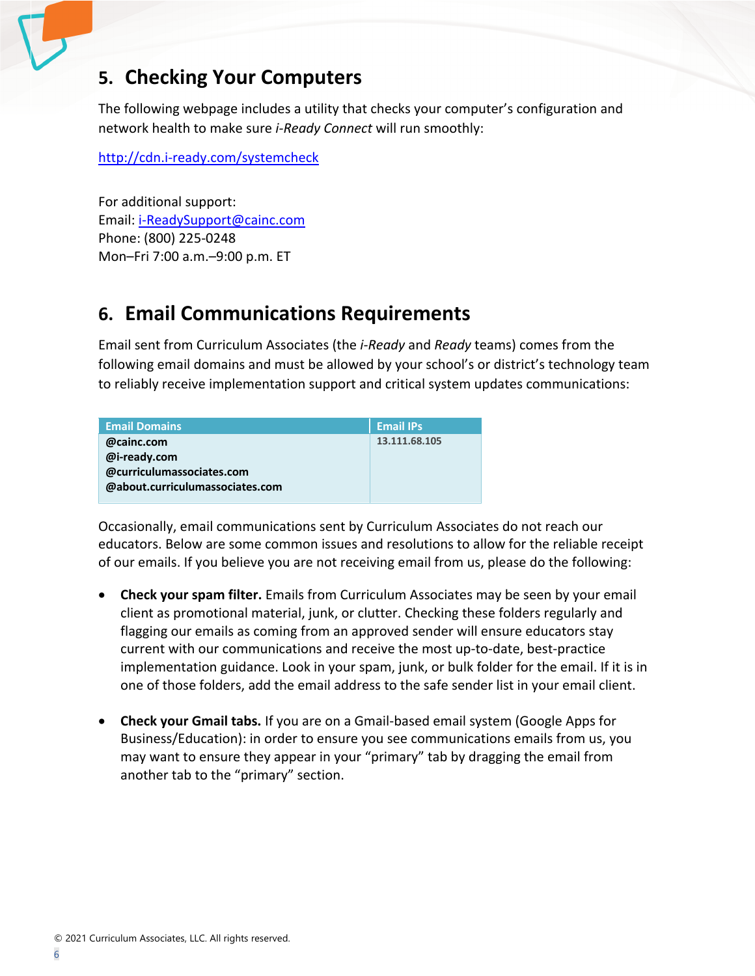# **5. Checking Your Computers**

The following webpage includes a utility that checks your computer's configuration and network health to make sure *i-Ready Connect* will run smoothly:

http://cdn.i-ready.com/systemcheck

For additional support: Email: i-ReadySupport@cainc.com Phone: (800) 225-0248 Mon–Fri 7:00 a.m.–9:00 p.m. ET

# **6. Email Communications Requirements**

Email sent from Curriculum Associates (the *i-Ready* and *Ready* teams) comes from the following email domains and must be allowed by your school's or district's technology team to reliably receive implementation support and critical system updates communications:

| <b>Email Domains</b>            | <b>Email IPs</b> |  |
|---------------------------------|------------------|--|
| @cainc.com                      | 13.111.68.105    |  |
| @i-ready.com                    |                  |  |
| @curriculumassociates.com       |                  |  |
| @about.curriculumassociates.com |                  |  |

Occasionally, email communications sent by Curriculum Associates do not reach our educators. Below are some common issues and resolutions to allow for the reliable receipt of our emails. If you believe you are not receiving email from us, please do the following:

- **Check your spam filter.** Emails from Curriculum Associates may be seen by your email client as promotional material, junk, or clutter. Checking these folders regularly and flagging our emails as coming from an approved sender will ensure educators stay current with our communications and receive the most up-to-date, best-practice implementation guidance. Look in your spam, junk, or bulk folder for the email. If it is in one of those folders, add the email address to the safe sender list in your email client.
- **Check your Gmail tabs.** If you are on a Gmail-based email system (Google Apps for Business/Education): in order to ensure you see communications emails from us, you may want to ensure they appear in your "primary" tab by dragging the email from another tab to the "primary" section.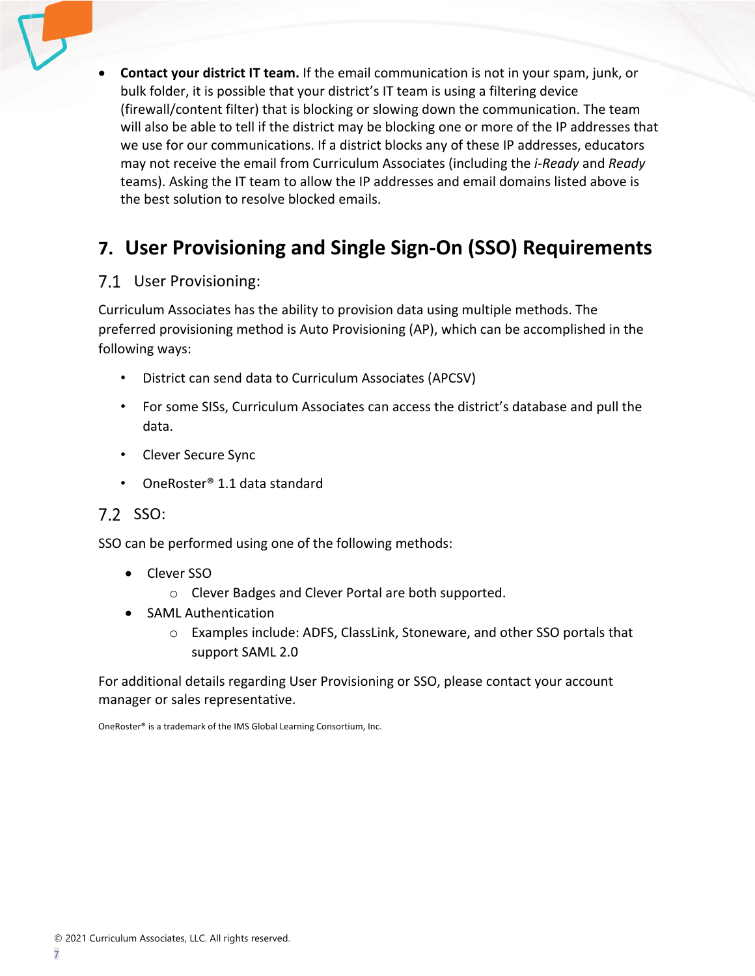• **Contact your district IT team.** If the email communication is not in your spam, junk, or bulk folder, it is possible that your district's IT team is using a filtering device (firewall/content filter) that is blocking or slowing down the communication. The team will also be able to tell if the district may be blocking one or more of the IP addresses that we use for our communications. If a district blocks any of these IP addresses, educators may not receive the email from Curriculum Associates (including the *i-Ready* and *Ready* teams). Asking the IT team to allow the IP addresses and email domains listed above is the best solution to resolve blocked emails.

# **7. User Provisioning and Single Sign-On (SSO) Requirements**

### 7.1 User Provisioning:

Curriculum Associates has the ability to provision data using multiple methods. The preferred provisioning method is Auto Provisioning (AP), which can be accomplished in the following ways:

- District can send data to Curriculum Associates (APCSV)
- For some SISs, Curriculum Associates can access the district's database and pull the data.
- Clever Secure Sync
- OneRoster® 1.1 data standard
- 7.2 SSO:

SSO can be performed using one of the following methods:

- Clever SSO
	- o Clever Badges and Clever Portal are both supported.
- SAML Authentication
	- o Examples include: ADFS, ClassLink, Stoneware, and other SSO portals that support SAML 2.0

For additional details regarding User Provisioning or SSO, please contact your account manager or sales representative.

OneRoster® is a trademark of the IMS Global Learning Consortium, Inc.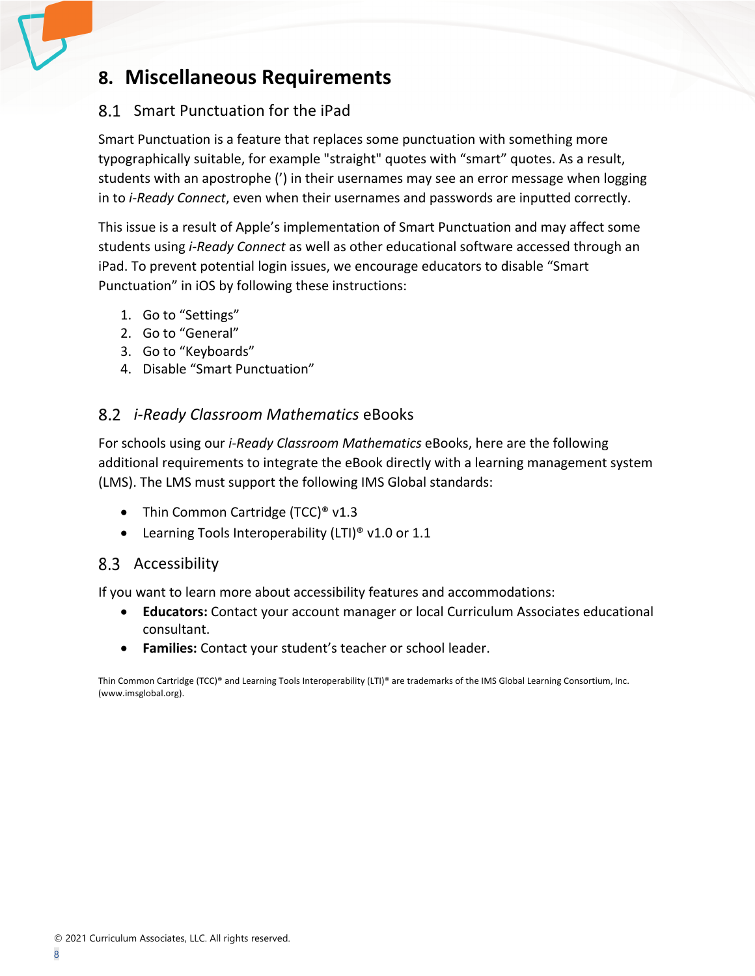# **8. Miscellaneous Requirements**

### Smart Punctuation for the iPad

Smart Punctuation is a feature that replaces some punctuation with something more typographically suitable, for example "straight" quotes with "smart" quotes. As a result, students with an apostrophe (') in their usernames may see an error message when logging in to *i-Ready Connect*, even when their usernames and passwords are inputted correctly.

This issue is a result of Apple's implementation of Smart Punctuation and may affect some students using *i-Ready Connect* as well as other educational software accessed through an iPad. To prevent potential login issues, we encourage educators to disable "Smart Punctuation" in iOS by following these instructions:

- 1. Go to "Settings"
- 2. Go to "General"
- 3. Go to "Keyboards"
- 4. Disable "Smart Punctuation"

### *i-Ready Classroom Mathematics* eBooks

For schools using our *i-Ready Classroom Mathematics* eBooks, here are the following additional requirements to integrate the eBook directly with a learning management system (LMS). The LMS must support the following IMS Global standards:

- Thin Common Cartridge (TCC)<sup>®</sup> v1.3
- Learning Tools Interoperability (LTI)<sup>®</sup> v1.0 or 1.1

### 8.3 Accessibility

If you want to learn more about accessibility features and accommodations:

- **Educators:** Contact your account manager or local Curriculum Associates educational consultant.
- **Families:** Contact your student's teacher or school leader.

Thin Common Cartridge (TCC)® and Learning Tools Interoperability (LTI)® are trademarks of the IMS Global Learning Consortium, Inc. (www.imsglobal.org).